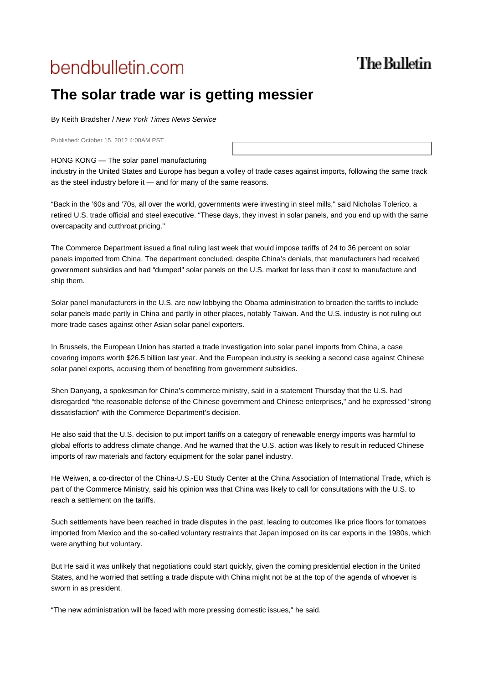## bendbulletin.com

## **The solar trade war is getting messier**

By Keith Bradsher / *New York Times News Service*

Published: October 15. 2012 4:00AM PST

## HONG KONG — The solar panel manufacturing

industry in the United States and Europe has begun a volley of trade cases against imports, following the same track as the steel industry before it — and for many of the same reasons.

"Back in the '60s and '70s, all over the world, governments were investing in steel mills," said Nicholas Tolerico, a retired U.S. trade official and steel executive. "These days, they invest in solar panels, and you end up with the same overcapacity and cutthroat pricing."

The Commerce Department issued a final ruling last week that would impose tariffs of 24 to 36 percent on solar panels imported from China. The department concluded, despite China's denials, that manufacturers had received government subsidies and had "dumped" solar panels on the U.S. market for less than it cost to manufacture and ship them.

Solar panel manufacturers in the U.S. are now lobbying the Obama administration to broaden the tariffs to include solar panels made partly in China and partly in other places, notably Taiwan. And the U.S. industry is not ruling out more trade cases against other Asian solar panel exporters.

In Brussels, the European Union has started a trade investigation into solar panel imports from China, a case covering imports worth \$26.5 billion last year. And the European industry is seeking a second case against Chinese solar panel exports, accusing them of benefiting from government subsidies.

Shen Danyang, a spokesman for China's commerce ministry, said in a statement Thursday that the U.S. had disregarded "the reasonable defense of the Chinese government and Chinese enterprises," and he expressed "strong dissatisfaction" with the Commerce Department's decision.

He also said that the U.S. decision to put import tariffs on a category of renewable energy imports was harmful to global efforts to address climate change. And he warned that the U.S. action was likely to result in reduced Chinese imports of raw materials and factory equipment for the solar panel industry.

He Weiwen, a co-director of the China-U.S.-EU Study Center at the China Association of International Trade, which is part of the Commerce Ministry, said his opinion was that China was likely to call for consultations with the U.S. to reach a settlement on the tariffs.

Such settlements have been reached in trade disputes in the past, leading to outcomes like price floors for tomatoes imported from Mexico and the so-called voluntary restraints that Japan imposed on its car exports in the 1980s, which were anything but voluntary.

But He said it was unlikely that negotiations could start quickly, given the coming presidential election in the United States, and he worried that settling a trade dispute with China might not be at the top of the agenda of whoever is sworn in as president.

"The new administration will be faced with more pressing domestic issues," he said.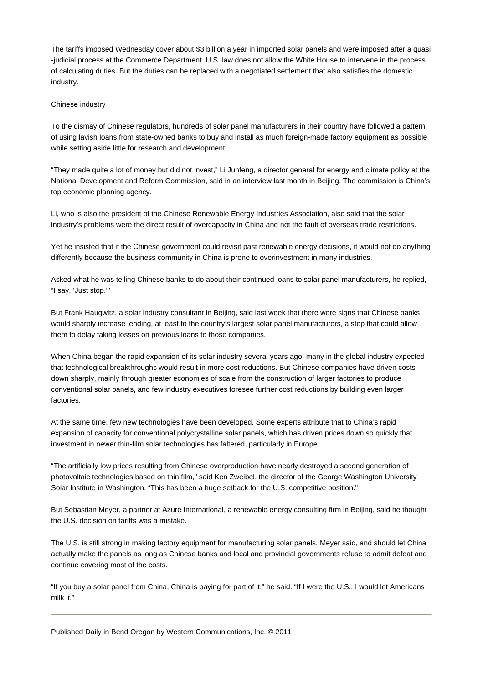The tariffs imposed Wednesday cover about \$3 billion a year in imported solar panels and were imposed after a quasi -judicial process at the Commerce Department. U.S. law does not allow the White House to intervene in the process of calculating duties. But the duties can be replaced with a negotiated settlement that also satisfies the domestic industry.

## Chinese industry

To the dismay of Chinese regulators, hundreds of solar panel manufacturers in their country have followed a pattern of using lavish loans from state-owned banks to buy and install as much foreign-made factory equipment as possible while setting aside little for research and development.

"They made quite a lot of money but did not invest," Li Junfeng, a director general for energy and climate policy at the National Development and Reform Commission, said in an interview last month in Beijing. The commission is China's top economic planning agency.

Li, who is also the president of the Chinese Renewable Energy Industries Association, also said that the solar industry's problems were the direct result of overcapacity in China and not the fault of overseas trade restrictions.

Yet he insisted that if the Chinese government could revisit past renewable energy decisions, it would not do anything differently because the business community in China is prone to overinvestment in many industries.

Asked what he was telling Chinese banks to do about their continued loans to solar panel manufacturers, he replied, "I say, 'Just stop.'"

But Frank Haugwitz, a solar industry consultant in Beijing, said last week that there were signs that Chinese banks would sharply increase lending, at least to the country's largest solar panel manufacturers, a step that could allow them to delay taking losses on previous loans to those companies.

When China began the rapid expansion of its solar industry several years ago, many in the global industry expected that technological breakthroughs would result in more cost reductions. But Chinese companies have driven costs down sharply, mainly through greater economies of scale from the construction of larger factories to produce conventional solar panels, and few industry executives foresee further cost reductions by building even larger factories.

At the same time, few new technologies have been developed. Some experts attribute that to China's rapid expansion of capacity for conventional polycrystalline solar panels, which has driven prices down so quickly that investment in newer thin-film solar technologies has faltered, particularly in Europe.

"The artificially low prices resulting from Chinese overproduction have nearly destroyed a second generation of photovoltaic technologies based on thin film," said Ken Zweibel, the director of the George Washington University Solar Institute in Washington. "This has been a huge setback for the U.S. competitive position."

But Sebastian Meyer, a partner at Azure International, a renewable energy consulting firm in Beijing, said he thought the U.S. decision on tariffs was a mistake.

The U.S. is still strong in making factory equipment for manufacturing solar panels, Meyer said, and should let China actually make the panels as long as Chinese banks and local and provincial governments refuse to admit defeat and continue covering most of the costs.

"If you buy a solar panel from China, China is paying for part of it," he said. "If I were the U.S., I would let Americans milk it."